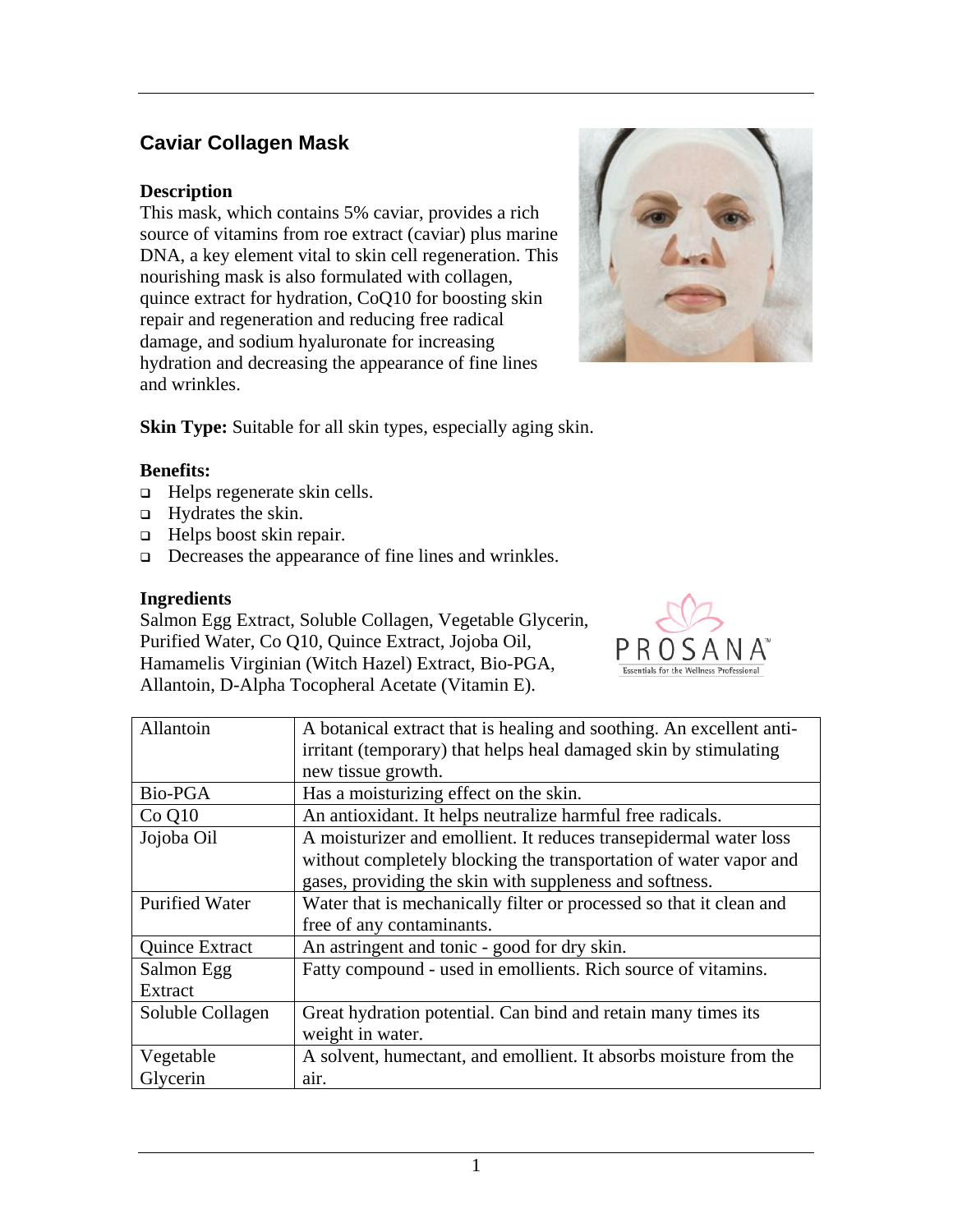# **Caviar Collagen Mask**

## **Description**

This mask, which contains 5% caviar, provides a rich source of vitamins from roe extract (caviar) plus marine DNA, a key element vital to skin cell regeneration. This nourishing mask is also formulated with collagen, quince extract for hydration, CoQ10 for boosting skin repair and regeneration and reducing free radical damage, and sodium hyaluronate for increasing hydration and decreasing the appearance of fine lines and wrinkles.



**Skin Type:** Suitable for all skin types, especially aging skin.

### **Benefits:**

- $\Box$  Helps regenerate skin cells.
- $\Box$  Hydrates the skin.
- □ Helps boost skin repair.
- □ Decreases the appearance of fine lines and wrinkles.

### **Ingredients**

Salmon Egg Extract, Soluble Collagen, Vegetable Glycerin, Purified Water, Co Q10, Quince Extract, Jojoba Oil, Hamamelis Virginian (Witch Hazel) Extract, Bio-PGA, Allantoin, D-Alpha Tocopheral Acetate (Vitamin E).



| Allantoin             | A botanical extract that is healing and soothing. An excellent anti- |
|-----------------------|----------------------------------------------------------------------|
|                       | irritant (temporary) that helps heal damaged skin by stimulating     |
|                       | new tissue growth.                                                   |
| Bio-PGA               | Has a moisturizing effect on the skin.                               |
| $Co$ Q $10$           | An antioxidant. It helps neutralize harmful free radicals.           |
| Jojoba Oil            | A moisturizer and emollient. It reduces transepidermal water loss    |
|                       | without completely blocking the transportation of water vapor and    |
|                       | gases, providing the skin with suppleness and softness.              |
| <b>Purified Water</b> | Water that is mechanically filter or processed so that it clean and  |
|                       | free of any contaminants.                                            |
| Quince Extract        | An astringent and tonic - good for dry skin.                         |
| Salmon Egg            | Fatty compound - used in emollients. Rich source of vitamins.        |
| Extract               |                                                                      |
| Soluble Collagen      | Great hydration potential. Can bind and retain many times its        |
|                       | weight in water.                                                     |
| Vegetable             | A solvent, humectant, and emollient. It absorbs moisture from the    |
| Glycerin              | air.                                                                 |